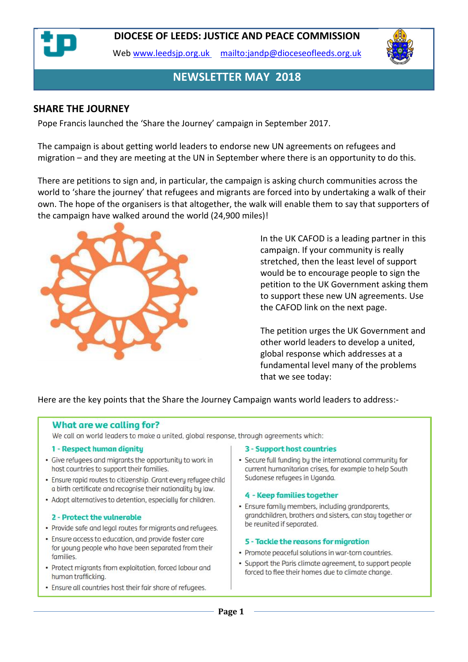

Web [www.leedsjp.org.uk](http://www.leedsjp.org.uk/) <mailto:jandp@dioceseofleeds.org.uk>



#### **NEWSLETTER MAY 2018**

#### **SHARE THE JOURNEY**

Pope Francis launched the 'Share the Journey' campaign in September 2017.

The campaign is about getting world leaders to endorse new UN agreements on refugees and migration – and they are meeting at the UN in September where there is an opportunity to do this.

There are petitions to sign and, in particular, the campaign is asking church communities across the world to 'share the journey' that refugees and migrants are forced into by undertaking a walk of their own. The hope of the organisers is that altogether, the walk will enable them to say that supporters of the campaign have walked around the world (24,900 miles)!



In the UK CAFOD is a leading partner in this campaign. If your community is really stretched, then the least level of support would be to encourage people to sign the petition to the UK Government asking them to support these new UN agreements. Use the CAFOD link on the next page.

The petition urges the UK Government and other world leaders to develop a united, global response which addresses at a fundamental level many of the problems that we see today:

Here are the key points that the Share the Journey Campaign wants world leaders to address:-

#### What are we calling for?

We call on world leaders to make a united, global response, through agreements which:

#### 1 - Respect human dignity

- Give refugees and migrants the opportunity to work in host countries to support their families.
- · Ensure rapid routes to citizenship. Grant every refugee child a birth certificate and recognise their nationality by law.
- Adopt alternatives to detention, especially for children.

#### 2 - Protect the vulnerable

- Provide safe and legal routes for migrants and refugees.
- . Ensure access to education, and provide foster care for young people who have been separated from their families.
- Protect migrants from exploitation, forced labour and human trafficking.
- . Ensure all countries host their fair share of refugees.

#### 3 - Support host countries

• Secure full funding by the international community for current humanitarian crises, for example to help South Sudanese refugees in Uganda.

#### 4 - Keep families together

· Ensure family members, including grandparents, grandchildren, brothers and sisters, can stay together or be reunited if separated.

#### 5 - Tackle the reasons for migration

- Promote peaceful solutions in war-torn countries.
- Support the Paris climate agreement, to support people forced to flee their homes due to climate change.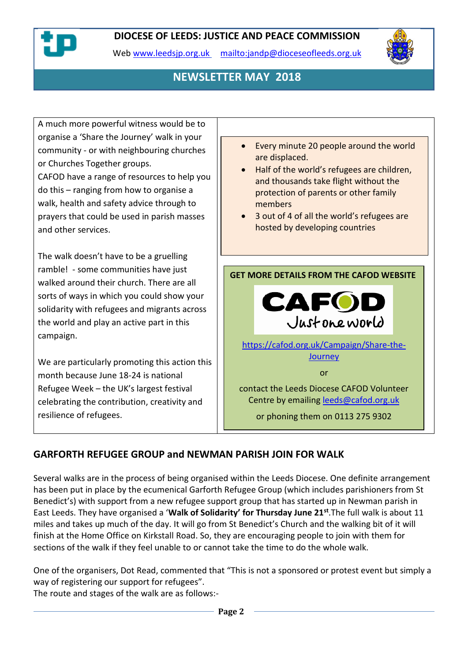

Web [www.leedsjp.org.uk](http://www.leedsjp.org.uk/) <mailto:jandp@dioceseofleeds.org.uk>



# **NEWSLETTER MAY 2018**

A much more powerful witness would be to organise a 'Share the Journey' walk in your community - or with neighbouring churches or Churches Together groups.

CAFOD have a range of resources to help you do this – ranging from how to organise a walk, health and safety advice through to prayers that could be used in parish masses and other services.

The walk doesn't have to be a gruelling ramble! - some communities have just walked around their church. There are all sorts of ways in which you could show your solidarity with refugees and migrants across the world and play an active part in this campaign.

We are particularly promoting this action this month because June 18-24 is national Refugee Week – the UK's largest festival celebrating the contribution, creativity and resilience of refugees.



- Half of the world's refugees are children, and thousands take flight without the protection of parents or other family members
- 3 out of 4 of all the world's refugees are hosted by developing countries

**GET MORE DETAILS FROM THE CAFOD WEBSITE**



[https://cafod.org.uk/Campaign/Share-the-](https://cafod.org.uk/Campaign/Share-the-Journey)**[Journey](https://cafod.org.uk/Campaign/Share-the-Journey)** 

or

contact the Leeds Diocese CAFOD Volunteer Centre by emailing [leeds@cafod.org.uk](mailto:leeds@cafod.org.uk)

or phoning them on 0113 275 9302

## **GARFORTH REFUGEE GROUP and NEWMAN PARISH JOIN FOR WALK**

Several walks are in the process of being organised within the Leeds Diocese. One definite arrangement has been put in place by the ecumenical Garforth Refugee Group (which includes parishioners from St Benedict's) with support from a new refugee support group that has started up in Newman parish in East Leeds. They have organised a '**Walk of Solidarity' for Thursday June 21st** .The full walk is about 11 miles and takes up much of the day. It will go from St Benedict's Church and the walking bit of it will finish at the Home Office on Kirkstall Road. So, they are encouraging people to join with them for sections of the walk if they feel unable to or cannot take the time to do the whole walk.

One of the organisers, Dot Read, commented that "This is not a sponsored or protest event but simply a way of registering our support for refugees".

The route and stages of the walk are as follows:-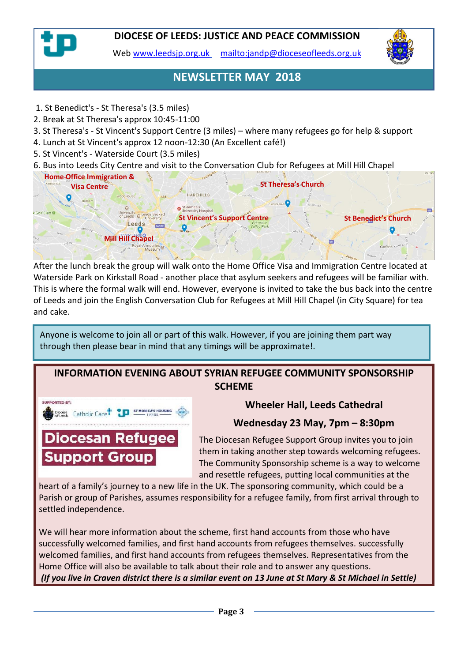

Web [www.leedsjp.org.uk](http://www.leedsjp.org.uk/) <mailto:jandp@dioceseofleeds.org.uk>



# **NEWSLETTER MAY 2018**

- 1. St Benedict's St Theresa's (3.5 miles)
- 2. Break at St Theresa's approx 10:45-11:00
- 3. St Theresa's St Vincent's Support Centre (3 miles) where many refugees go for help & support
- 4. Lunch at St Vincent's approx 12 noon-12:30 (An Excellent café!)
- 5. St Vincent's Waterside Court (3.5 miles)
- 6. Bus into Leeds City Centre and visit to the Conversation Club for Refugees at Mill Hill Chapel



After the lunch break the group will walk onto the Home Office Visa and Immigration Centre located at Waterside Park on Kirkstall Road - another place that asylum seekers and refugees will be familiar with. This is where the formal walk will end. However, everyone is invited to take the bus back into the centre of Leeds and join the English Conversation Club for Refugees at Mill Hill Chapel (in City Square) for tea and cake.

Anyone is welcome to join all or part of this walk. However, if you are joining them part way through then please bear in mind that any timings will be approximate!.

# **INFORMATION EVENING ABOUT SYRIAN REFUGEE COMMUNITY SPONSORSHIP SCHEME**



# **Wheeler Hall, Leeds Cathedral**

## **Wednesday 23 May, 7pm – 8:30pm**

The Diocesan Refugee Support Group invites you to join them in taking another step towards welcoming refugees. The Community Sponsorship scheme is a way to welcome and resettle refugees, putting local communities at the

heart of a family's journey to a new life in the UK. The sponsoring community, which could be a Parish or group of Parishes, assumes responsibility for a refugee family, from first arrival through to settled independence.

We will hear more information about the scheme, first hand accounts from those who have successfully welcomed families, and first hand accounts from refugees themselves. successfully welcomed families, and first hand accounts from refugees themselves. Representatives from the Home Office will also be available to talk about their role and to answer any questions. *(If you live in Craven district there is a similar event on 13 June at St Mary & St Michael in Settle)*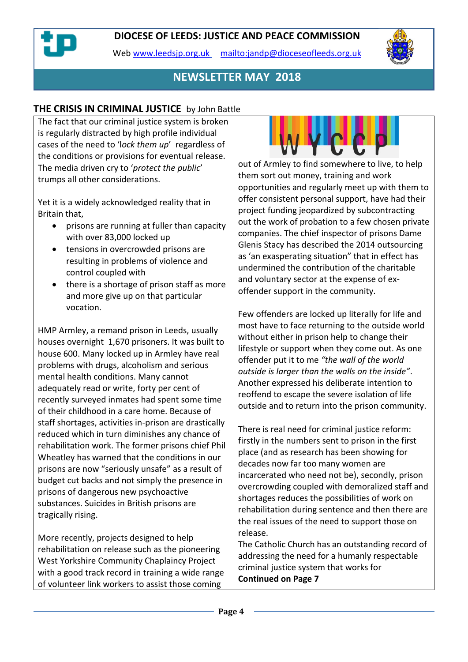Web [www.leedsjp.org.uk](http://www.leedsjp.org.uk/) <mailto:jandp@dioceseofleeds.org.uk>



# **NEWSLETTER MAY 2018**

#### **THE CRISIS IN CRIMINAL JUSTICE** by John Battle

The fact that our criminal justice system is broken is regularly distracted by high profile individual cases of the need to 'l*ock them up*' regardless of the conditions or provisions for eventual release. The media driven cry to '*protect the public*' trumps all other considerations.

Yet it is a widely acknowledged reality that in Britain that,

- prisons are running at fuller than capacity with over 83,000 locked up
- tensions in overcrowded prisons are resulting in problems of violence and control coupled with
- there is a shortage of prison staff as more and more give up on that particular vocation.

HMP Armley, a remand prison in Leeds, usually houses overnight 1,670 prisoners. It was built to house 600. Many locked up in Armley have real problems with drugs, alcoholism and serious mental health conditions. Many cannot adequately read or write, forty per cent of recently surveyed inmates had spent some time of their childhood in a care home. Because of staff shortages, activities in-prison are drastically reduced which in turn diminishes any chance of rehabilitation work. The former prisons chief Phil Wheatley has warned that the conditions in our prisons are now "seriously unsafe" as a result of budget cut backs and not simply the presence in prisons of dangerous new psychoactive substances. Suicides in British prisons are tragically rising.

More recently, projects designed to help rehabilitation on release such as the pioneering West Yorkshire Community Chaplaincy Project with a good track record in training a wide range of volunteer link workers to assist those coming



out of Armley to find somewhere to live, to help them sort out money, training and work opportunities and regularly meet up with them to offer consistent personal support, have had their project funding jeopardized by subcontracting out the work of probation to a few chosen private companies. The chief inspector of prisons Dame Glenis Stacy has described the 2014 outsourcing as 'an exasperating situation" that in effect has undermined the contribution of the charitable and voluntary sector at the expense of exoffender support in the community.

Few offenders are locked up literally for life and most have to face returning to the outside world without either in prison help to change their lifestyle or support when they come out. As one offender put it to me *"the wall of the world outside is larger than the walls on the inside"*. Another expressed his deliberate intention to reoffend to escape the severe isolation of life outside and to return into the prison community.

There is real need for criminal justice reform: firstly in the numbers sent to prison in the first place (and as research has been showing for decades now far too many women are incarcerated who need not be), secondly, prison overcrowding coupled with demoralized staff and shortages reduces the possibilities of work on rehabilitation during sentence and then there are the real issues of the need to support those on release.

The Catholic Church has an outstanding record of addressing the need for a humanly respectable criminal justice system that works for **Continued on Page 7**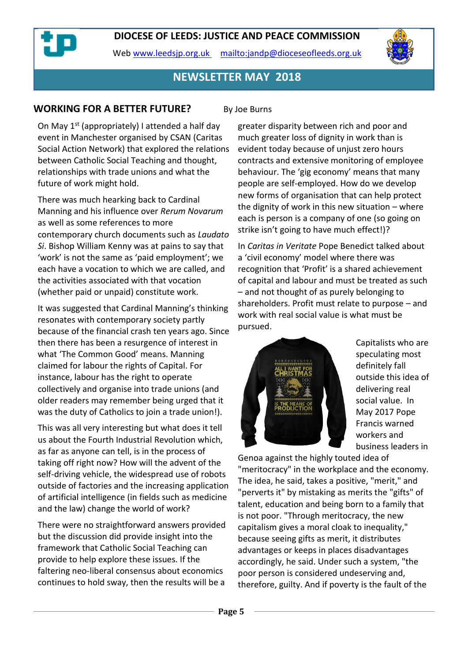Web [www.leedsjp.org.uk](http://www.leedsjp.org.uk/) <mailto:jandp@dioceseofleeds.org.uk>



## **NEWSLETTER MAY 2018**

#### **WORKING FOR A BETTER FUTURE?** By Joe Burns

On May 1<sup>st</sup> (appropriately) I attended a half day event in Manchester organised by CSAN (Caritas Social Action Network) that explored the relations between Catholic Social Teaching and thought, relationships with trade unions and what the future of work might hold.

There was much hearking back to Cardinal Manning and his influence over *Rerum Novarum* as well as some references to more contemporary church documents such as *Laudato Si*. Bishop William Kenny was at pains to say that 'work' is not the same as 'paid employment'; we each have a vocation to which we are called, and the activities associated with that vocation (whether paid or unpaid) constitute work.

It was suggested that Cardinal Manning's thinking resonates with contemporary society partly because of the financial crash ten years ago. Since then there has been a resurgence of interest in what 'The Common Good' means. Manning claimed for labour the rights of Capital. For instance, labour has the right to operate collectively and organise into trade unions (and older readers may remember being urged that it was the duty of Catholics to join a trade union!).

This was all very interesting but what does it tell us about the Fourth Industrial Revolution which, as far as anyone can tell, is in the process of taking off right now? How will the advent of the self-driving vehicle, the widespread use of robots outside of factories and the increasing application of artificial intelligence (in fields such as medicine and the law) change the world of work?

There were no straightforward answers provided but the discussion did provide insight into the framework that Catholic Social Teaching can provide to help explore these issues. If the faltering neo-liberal consensus about economics continues to hold sway, then the results will be a

greater disparity between rich and poor and much greater loss of dignity in work than is evident today because of unjust zero hours contracts and extensive monitoring of employee behaviour. The 'gig economy' means that many people are self-employed. How do we develop new forms of organisation that can help protect the dignity of work in this new situation – where each is person is a company of one (so going on strike isn't going to have much effect!)?

In *Caritas in Veritate* Pope Benedict talked about a 'civil economy' model where there was recognition that 'Profit' is a shared achievement of capital and labour and must be treated as such – and not thought of as purely belonging to shareholders. Profit must relate to purpose – and work with real social value is what must be pursued.



Capitalists who are speculating most definitely fall outside this idea of delivering real social value. In May 2017 Pope Francis warned workers and business leaders in

Genoa against the highly touted idea of "meritocracy" in the workplace and the economy. The idea, he said, takes a positive, "merit," and "perverts it" by mistaking as merits the "gifts" of talent, education and being born to a family that is not poor. "Through meritocracy, the new capitalism gives a moral cloak to inequality," because seeing gifts as merit, it distributes advantages or keeps in places disadvantages accordingly, he said. Under such a system, "the poor person is considered undeserving and, therefore, guilty. And if poverty is the fault of the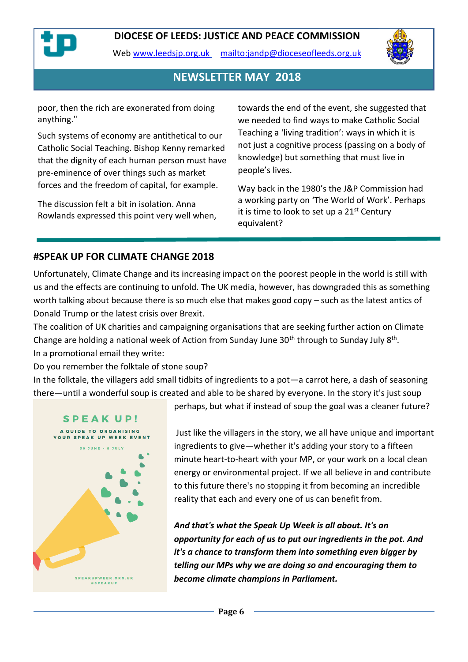

Web [www.leedsjp.org.uk](http://www.leedsjp.org.uk/) <mailto:jandp@dioceseofleeds.org.uk>



## **NEWSLETTER MAY 2018**

poor, then the rich are exonerated from doing anything."

Such systems of economy are antithetical to our Catholic Social Teaching. Bishop Kenny remarked that the dignity of each human person must have pre-eminence of over things such as market forces and the freedom of capital, for example.

The discussion felt a bit in isolation. Anna Rowlands expressed this point very well when, towards the end of the event, she suggested that we needed to find ways to make Catholic Social Teaching a 'living tradition': ways in which it is not just a cognitive process (passing on a body of knowledge) but something that must live in people's lives.

Way back in the 1980's the J&P Commission had a working party on 'The World of Work'. Perhaps it is time to look to set up a  $21<sup>st</sup>$  Century equivalent?

#### **#SPEAK UP FOR CLIMATE CHANGE 2018**

Unfortunately, Climate Change and its increasing impact on the poorest people in the world is still with us and the effects are continuing to unfold. The UK media, however, has downgraded this as something worth talking about because there is so much else that makes good copy – such as the latest antics of Donald Trump or the latest crisis over Brexit.

The coalition of UK charities and campaigning organisations that are seeking further action on Climate Change are holding a national week of Action from Sunday June 30<sup>th</sup> through to Sunday July 8<sup>th</sup>. In a promotional email they write:

Do you remember the folktale of stone soup?

In the folktale, the villagers add small tidbits of ingredients to a pot—a carrot here, a dash of seasoning there—until a wonderful soup is created and able to be shared by everyone. In the story it's just soup



perhaps, but what if instead of soup the goal was a cleaner future?

Just like the villagers in the story, we all have unique and important ingredients to give—whether it's adding your story to a fifteen minute heart-to-heart with your MP, or your work on a local clean energy or environmental project. If we all believe in and contribute to this future there's no stopping it from becoming an incredible reality that each and every one of us can benefit from.

*And that's what the Speak Up Week is all about. It's an opportunity for each of us to put our ingredients in the pot. And it's a chance to transform them into something even bigger by telling our MPs why we are doing so and encouraging them to become climate champions in Parliament.*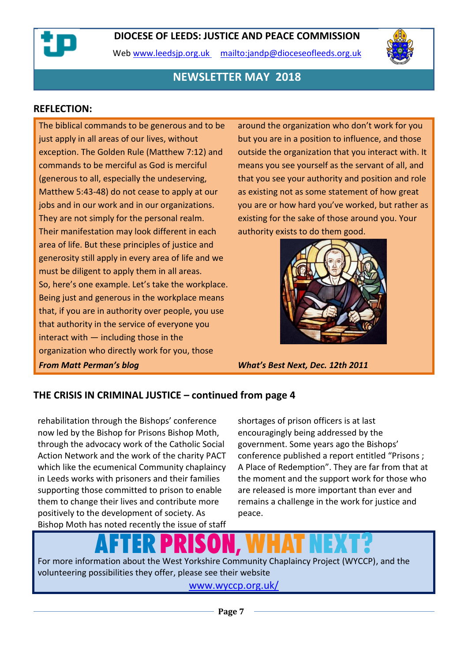Web [www.leedsjp.org.uk](http://www.leedsjp.org.uk/) <mailto:jandp@dioceseofleeds.org.uk>



## **NEWSLETTER MAY 2018**

#### **REFLECTION:**

The biblical commands to be generous and to be just apply in all areas of our lives, without exception. The Golden Rule (Matthew 7:12) and commands to be merciful as God is merciful (generous to all, especially the undeserving, Matthew 5:43-48) do not cease to apply at our jobs and in our work and in our organizations. They are not simply for the personal realm. Their manifestation may look different in each area of life. But these principles of justice and generosity still apply in every area of life and we must be diligent to apply them in all areas. So, here's one example. Let's take the workplace. Being just and generous in the workplace means that, if you are in authority over people, you use that authority in the service of everyone you interact with — including those in the organization who directly work for you, those *From Matt Perman's blog What's Best Next, Dec. 12th 2011*

around the organization who don't work for you but you are in a position to influence, and those outside the organization that you interact with. It means you see yourself as the servant of all, and that you see your authority and position and role as existing not as some statement of how great you are or how hard you've worked, but rather as existing for the sake of those around you. Your authority exists to do them good.



#### **THE CRISIS IN CRIMINAL JUSTICE – continued from page 4**

rehabilitation through the Bishops' conference now led by the Bishop for Prisons Bishop Moth, through the advocacy work of the Catholic Social Action Network and the work of the charity PACT which like the ecumenical Community chaplaincy in Leeds works with prisoners and their families supporting those committed to prison to enable them to change their lives and contribute more positively to the development of society. As Bishop Moth has noted recently the issue of staff shortages of prison officers is at last encouragingly being addressed by the government. Some years ago the Bishops' conference published a report entitled "Prisons ; A Place of Redemption". They are far from that at the moment and the support work for those who are released is more important than ever and remains a challenge in the work for justice and peace.

For more information about the West Yorkshire Community Chaplaincy Project (WYCCP), and the volunteering possibilities they offer, please see their website

[www.wyccp.org.uk/](https://www.wyccp.org.uk/)